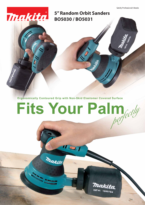Satisfy Professional's Needs

**5" Random Orbit Sanders BO5030 / BO5031**

Thakita

**Ergonomically Contoured Grip with Non-Skid Elastomer Covered Surface**

II SIT

makita

## **Fits Your Palm**

**KB** 



PART NO. 1660784